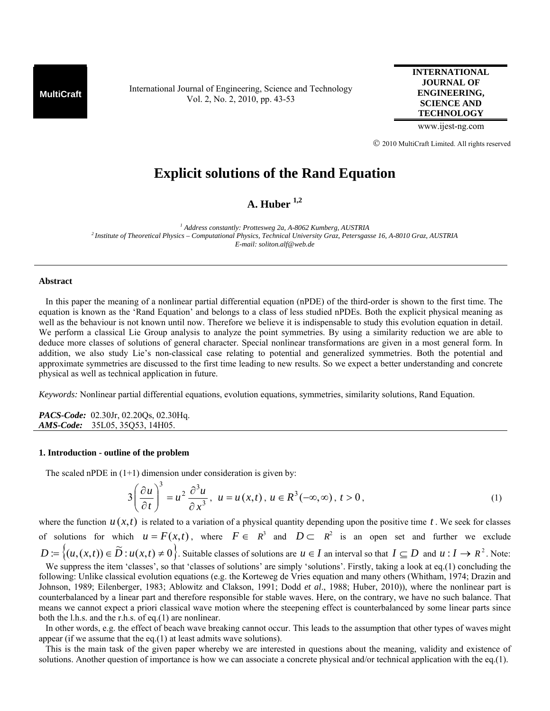**MultiCraft** International Journal of Engineering, Science and Technology Vol. 2, No. 2, 2010, pp. 43-53

**INTERNATIONAL JOURNAL OF ENGINEERING, SCIENCE AND TECHNOLOGY**

www.ijest-ng.com

© 2010 MultiCraft Limited. All rights reserved

# **Explicit solutions of the Rand Equation**

## **A. Huber 1,2**

<sup>1</sup> Address constantly: Prottesweg 2a, A-8062 Kumberg, AUSTRIA  *Address constantly: Prottesweg 2a, A-8062 Kumberg, AUSTRIA 2 Institute of Theoretical Physics – Computational Physics, Technical University Graz, Petersgasse 16, A-8010 Graz, AUSTRIA E-mail: soliton.alf@web.de*

#### **Abstract**

 In this paper the meaning of a nonlinear partial differential equation (nPDE) of the third-order is shown to the first time. The equation is known as the 'Rand Equation' and belongs to a class of less studied nPDEs. Both the explicit physical meaning as well as the behaviour is not known until now. Therefore we believe it is indispensable to study this evolution equation in detail. We perform a classical Lie Group analysis to analyze the point symmetries. By using a similarity reduction we are able to deduce more classes of solutions of general character. Special nonlinear transformations are given in a most general form. In addition, we also study Lie's non-classical case relating to potential and generalized symmetries. Both the potential and approximate symmetries are discussed to the first time leading to new results. So we expect a better understanding and concrete physical as well as technical application in future.

*Keywords:* Nonlinear partial differential equations, evolution equations, symmetries, similarity solutions, Rand Equation.

*PACS-Code:*02.30Jr, 02.20Qs, 02.30Hq. *AMS-Code:* 35L05, 35Q53, 14H05.

#### **1. Introduction - outline of the problem**

The scaled nPDE in  $(1+1)$  dimension under consideration is given by:

$$
3\left(\frac{\partial u}{\partial t}\right)^3 = u^2 \frac{\partial^3 u}{\partial x^3}, \ u = u(x,t), \ u \in R^3(-\infty, \infty), \ t > 0,
$$
 (1)

where the function  $u(x,t)$  is related to a variation of a physical quantity depending upon the positive time *t*. We seek for classes of solutions for which  $u = F(x,t)$ , where  $F \in R^3$  and  $D \subset R^2$  is an open set and further we exclude  $D := \{(u, (x,t)) \in \tilde{D} : u(x,t) \neq 0\}$ . Suitable classes of solutions are  $u \in I$  an interval so that  $I \subseteq D$  and  $u : I \to R^2$ . Note:

 We suppress the item 'classes', so that 'classes of solutions' are simply 'solutions'. Firstly, taking a look at eq.(1) concluding the following: Unlike classical evolution equations (e.g. the Korteweg de Vries equation and many others (Whitham, 1974; Drazin and Johnson, 1989; Eilenberger, 1983; Ablowitz and Clakson, 1991; Dodd *et al*., 1988; Huber, 2010)), where the nonlinear part is counterbalanced by a linear part and therefore responsible for stable waves. Here, on the contrary, we have no such balance. That means we cannot expect a priori classical wave motion where the steepening effect is counterbalanced by some linear parts since both the l.h.s. and the r.h.s. of eq.(1) are nonlinear.

 In other words, e.g. the effect of beach wave breaking cannot occur. This leads to the assumption that other types of waves might appear (if we assume that the eq.(1) at least admits wave solutions).

 This is the main task of the given paper whereby we are interested in questions about the meaning, validity and existence of solutions. Another question of importance is how we can associate a concrete physical and/or technical application with the eq.(1).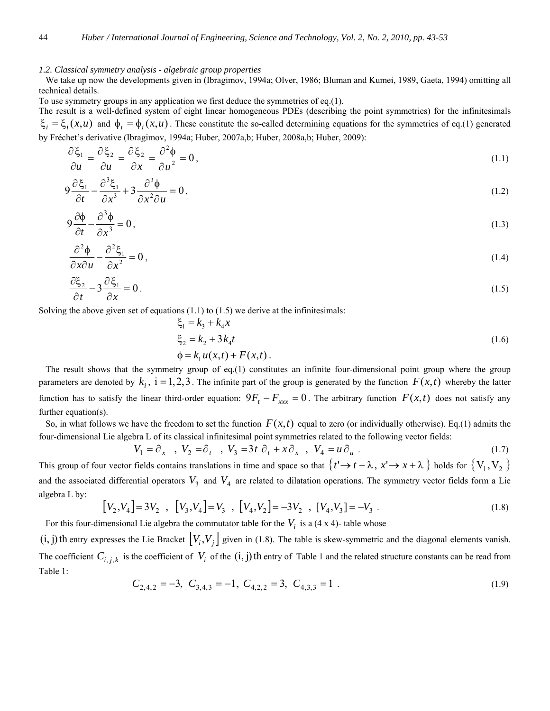#### *1.2. Classical symmetry analysis - algebraic group properties*

 We take up now the developments given in (Ibragimov, 1994a; Olver, 1986; Bluman and Kumei, 1989, Gaeta, 1994) omitting all technical details.

To use symmetry groups in any application we first deduce the symmetries of eq.(1).

The result is a well-defined system of eight linear homogeneous PDEs (describing the point symmetries) for the infinitesimals  $\xi_i = \xi_i(x, u)$  and  $\phi_i = \phi_i(x, u)$ . These constitute the so-called determining equations for the symmetries of eq.(1) generated by Fréchet's derivative (Ibragimov, 1994a; Huber, 2007a,b; Huber, 2008a,b; Huber, 2009):

$$
\frac{\partial \xi_1}{\partial u} = \frac{\partial \xi_2}{\partial u} = \frac{\partial \xi_2}{\partial x} = \frac{\partial^2 \phi}{\partial u^2} = 0,
$$
\n(1.1)

$$
9\frac{\partial \xi_1}{\partial t} - \frac{\partial^3 \xi_1}{\partial x^3} + 3\frac{\partial^3 \phi}{\partial x^2 \partial u} = 0,
$$
\n(1.2)

$$
9\frac{\partial \phi}{\partial t} - \frac{\partial^3 \phi}{\partial x^3} = 0,
$$
\n(1.3)

$$
\frac{\partial^2 \phi}{\partial x \partial u} - \frac{\partial^2 \xi_1}{\partial x^2} = 0,
$$
\n(1.4)

$$
\frac{\partial \xi_2}{\partial t} - 3 \frac{\partial \xi_1}{\partial x} = 0. \tag{1.5}
$$

Solving the above given set of equations  $(1.1)$  to  $(1.5)$  we derive at the infinitesimals:

$$
\xi_1 = k_3 + k_4 x \n\xi_2 = k_2 + 3k_4 t
$$
\n(1.6)

$$
\Phi = k_1 u(x,t) + F(x,t).
$$

 The result shows that the symmetry group of eq.(1) constitutes an infinite four-dimensional point group where the group parameters are denoted by  $k_i$ ,  $i = 1, 2, 3$ . The infinite part of the group is generated by the function  $F(x, t)$  whereby the latter function has to satisfy the linear third-order equation:  $9F_t - F_{xxx} = 0$ . The arbitrary function  $F(x,t)$  does not satisfy any further equation(s).

So, in what follows we have the freedom to set the function  $F(x,t)$  equal to zero (or individually otherwise). Eq.(1) admits the four-dimensional Lie algebra L of its classical infinitesimal point symmetries related to the following vector fields:

$$
V_1 = \partial_x , V_2 = \partial_t , V_3 = 3t \partial_t + x \partial_x , V_4 = u \partial_u .
$$
 (1.7)

This group of four vector fields contains translations in time and space so that  $\{t' \rightarrow t + \lambda, x' \rightarrow x + \lambda\}$  holds for  $\{V_1, V_2\}$ and the associated differential operators  $V_3$  and  $V_4$  are related to dilatation operations. The symmetry vector fields form a Lie algebra L by:

$$
\begin{bmatrix} V_2, V_4 \end{bmatrix} = 3V_2 \ , \ \begin{bmatrix} V_3, V_4 \end{bmatrix} = V_3 \ , \ \begin{bmatrix} V_4, V_2 \end{bmatrix} = -3V_2 \ , \ \begin{bmatrix} V_4, V_3 \end{bmatrix} = -V_3 \ . \tag{1.8}
$$

For this four-dimensional Lie algebra the commutator table for the  $V_i$  is a (4 x 4)- table whose

 $(i, j)$ th entry expresses the Lie Bracket  $[V_i, V_j]$  given in (1.8). The table is skew-symmetric and the diagonal elements vanish. The coefficient  $C_{i,j,k}$  is the coefficient of  $V_i$  of the  $(i, j)$  th entry of Table 1 and the related structure constants can be read from Table 1:

$$
C_{2,4,2} = -3, \ C_{3,4,3} = -1, \ C_{4,2,2} = 3, \ C_{4,3,3} = 1 \ . \tag{1.9}
$$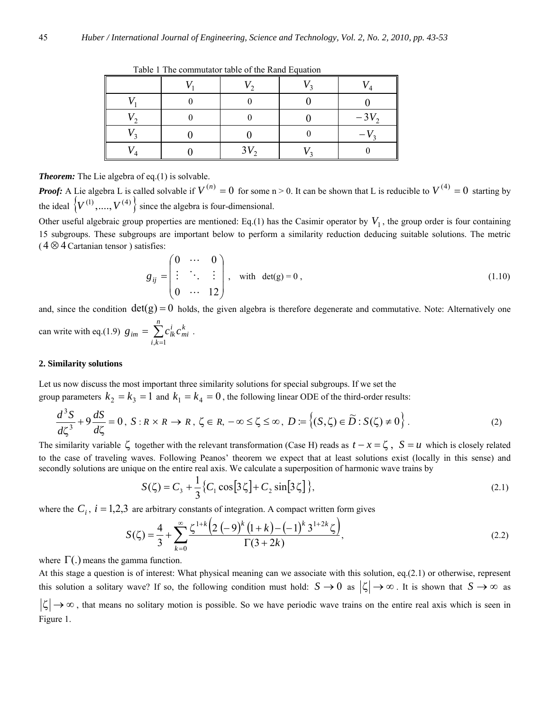| Twore I The communities more of the runner Equation |  |  |  |         |  |
|-----------------------------------------------------|--|--|--|---------|--|
|                                                     |  |  |  |         |  |
|                                                     |  |  |  |         |  |
|                                                     |  |  |  | $-3V_2$ |  |
|                                                     |  |  |  |         |  |
|                                                     |  |  |  |         |  |

Table 1 The commutator table of the Rand Equation

**Theorem:** The Lie algebra of eq.(1) is solvable.

*Proof:* A Lie algebra L is called solvable if  $V^{(n)} = 0$  for some n > 0. It can be shown that L is reducible to  $V^{(4)} = 0$  starting by the ideal  $\{V^{(1)},...,V^{(4)}\}$  since the algebra is four-dimensional.

Other useful algebraic group properties are mentioned: Eq.(1) has the Casimir operator by  $V_1$ , the group order is four containing 15 subgroups. These subgroups are important below to perform a similarity reduction deducing suitable solutions. The metric  $(4 \otimes 4)$  Cartanian tensor ) satisfies:

$$
g_{ij} = \begin{pmatrix} 0 & \cdots & 0 \\ \vdots & \ddots & \vdots \\ 0 & \cdots & 12 \end{pmatrix}, \text{ with } \det(g) = 0,
$$
 (1.10)

and, since the condition  $det(g) = 0$  holds, the given algebra is therefore degenerate and commutative. Note: Alternatively one

can write with eq.(1.9) 
$$
g_{im} = \sum_{i,k=1}^{n} c_{lk}^{i} c_{mi}^{k}
$$

#### **2. Similarity solutions**

Let us now discuss the most important three similarity solutions for special subgroups. If we set the

.

group parameters  $k_2 = k_3 = 1$  and  $k_1 = k_4 = 0$ , the following linear ODE of the third-order results:

$$
\frac{d^3S}{d\zeta^3} + 9\frac{dS}{d\zeta} = 0, \ S: R \times R \to R, \ \zeta \in R, \ -\infty \le \zeta \le \infty, \ D := \left\{ (S, \zeta) \in \widetilde{D} : S(\zeta) \ne 0 \right\}.
$$

The similarity variable  $\zeta$  together with the relevant transformation (Case H) reads as  $t - x = \zeta$ ,  $S = u$  which is closely related to the case of traveling waves. Following Peanos' theorem we expect that at least solutions exist (locally in this sense) and secondly solutions are unique on the entire real axis. We calculate a superposition of harmonic wave trains by

$$
S(\zeta) = C_3 + \frac{1}{3} \{ C_1 \cos[3\zeta] + C_2 \sin[3\zeta] \},
$$
\n(2.1)

where the  $C_i$ ,  $i = 1,2,3$  are arbitrary constants of integration. A compact written form gives

$$
S(\zeta) = \frac{4}{3} + \sum_{k=0}^{\infty} \frac{\zeta^{1+k} \left( 2 \left( -9 \right)^k \left( 1+k \right) - \left( -1 \right)^k 3^{1+2k} \zeta \right)}{\Gamma(3+2k)},\tag{2.2}
$$

where  $\Gamma(.)$  means the gamma function.

At this stage a question is of interest: What physical meaning can we associate with this solution, eq.(2.1) or otherwise, represent this solution a solitary wave? If so, the following condition must hold:  $S \to 0$  as  $|\zeta| \to \infty$ . It is shown that  $S \to \infty$  as  $|\zeta| \to \infty$ , that means no solitary motion is possible. So we have periodic wave trains on the entire real axis which is seen in Figure 1.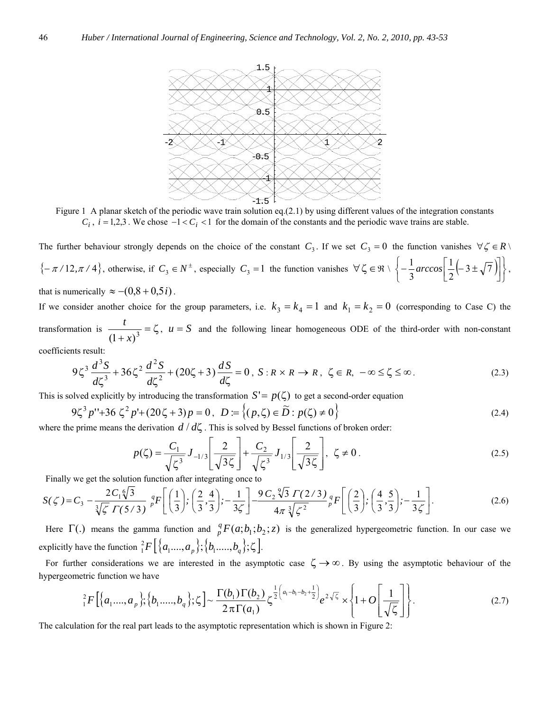

Figure 1 A planar sketch of the periodic wave train solution eq.(2.1) by using different values of the integration constants  $C_i$ , *i* = 1,2,3. We chose  $-1 < C_i < 1$  for the domain of the constants and the periodic wave trains are stable.

The further behaviour strongly depends on the choice of the constant *C*<sub>3</sub>. If we set *C*<sub>3</sub> = 0 the function vanishes  $\forall \zeta \in R \setminus R$  ${-\pi/12,\pi/4}$ , otherwise, if  $C_3 \in N^{\pm}$ , especially  $C_3 = 1$  the function vanishes  $\forall \zeta \in \Re \setminus \left\{ -\frac{1}{3} \arccos \left[ \frac{1}{2} \left( -3 \pm \sqrt{7} \right) \right] \right\}$  $\overline{1}$  $\overline{a}$ ⎨  $\int$  $\left[\frac{1}{2}(-3\pm\sqrt{7})\right]$  $-\frac{1}{2}arccos\left(\frac{1}{2}\right)-3\pm\sqrt{7}$ 2 1 3  $\frac{1}{2}arccos\left[\frac{1}{2}(-3\pm\sqrt{7})\right]$ , that is numerically  $\approx -(0.8 + 0.5 i)$ .

If we consider another choice for the group parameters, i.e.  $k_3 = k_4 = 1$  and  $k_1 = k_2 = 0$  (corresponding to Case C) the transformation is  $\frac{1}{\sqrt{2}} = \zeta$  $(1 + x)^3$  $\frac{t}{\sqrt{t}} = \zeta$ ,  $u = S$  and the following linear homogeneous ODE of the third-order with non-constant coefficients result:

$$
9\zeta^3 \frac{d^3 S}{d\zeta^3} + 36\zeta^2 \frac{d^2 S}{d\zeta^2} + (20\zeta + 3) \frac{dS}{d\zeta} = 0, \ S: R \times R \to R, \ \ \zeta \in R, \ -\infty \le \zeta \le \infty. \tag{2.3}
$$

This is solved explicitly by introducing the transformation  $S' = p(\zeta)$  to get a second-order equation

$$
9\zeta^{3} p'' + 36 \zeta^{2} p' + (20\zeta + 3)p = 0, \ D := \{(p, \zeta) \in \widetilde{D} : p(\zeta) \neq 0\}
$$
 (2.4)

where the prime means the derivation  $d / d\zeta$ . This is solved by Bessel functions of broken order:

$$
p(\zeta) = \frac{C_1}{\sqrt{\zeta^3}} J_{-1/3} \left[ \frac{2}{\sqrt{3\zeta}} \right] + \frac{C_2}{\sqrt{\zeta^3}} J_{1/3} \left[ \frac{2}{\sqrt{3\zeta}} \right], \ \zeta \neq 0. \tag{2.5}
$$

Finally we get the solution function after integrating once to

$$
S(\zeta) = C_3 - \frac{2C_1\sqrt[6]{3}}{\sqrt[3]{\zeta} \Gamma(5/3)} \, {}_{p}^{q}F\left[\left(\frac{1}{3}\right); \left(\frac{2}{3}, \frac{4}{3}\right); -\frac{1}{3\zeta}\right] - \frac{9C_2\sqrt[6]{3} \Gamma(2/3)}{4\pi \sqrt[3]{\zeta^2}} \, {}_{p}^{q}F\left[\left(\frac{2}{3}\right); \left(\frac{4}{3}, \frac{5}{3}\right); -\frac{1}{3\zeta}\right].
$$
 (2.6)

Here  $\Gamma$ (.) means the gamma function and  ${}_{p}^{q}F(a;b_{1};b_{2};z)$  is the generalized hypergeometric function. In our case we explicitly have the function  ${}_{1}^{2}F\left[\left\{a_1,...,a_p\right\};\left\{b_1,...,b_q\right\};\zeta\right]$ .

For further considerations we are interested in the asymptotic case  $\zeta \to \infty$ . By using the asymptotic behaviour of the hypergeometric function we have

$$
{}_{1}^{2}F\left[\left\{a_{1},...,a_{p}\right\};\left\{b_{1},...,b_{q}\right\};\zeta\right]-\frac{\Gamma(b_{1})\Gamma(b_{2})}{2\pi\Gamma(a_{1})}\zeta^{\frac{1}{2}\left(a_{1}-b_{1}-b_{2}+\frac{1}{2}\right)}e^{2\sqrt{\zeta}}\times\left\{1+O\left[\frac{1}{\sqrt{\zeta}}\right]\right\}.
$$
\n(2.7)

The calculation for the real part leads to the asymptotic representation which is shown in Figure 2: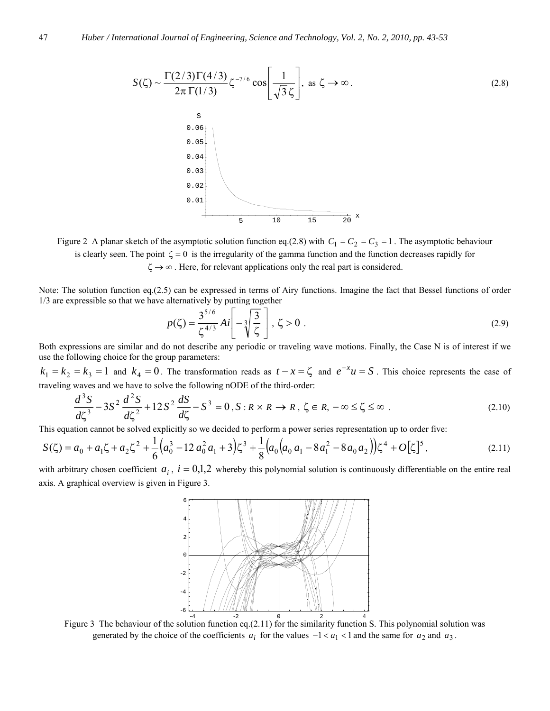

Figure 2 A planar sketch of the asymptotic solution function eq.(2.8) with  $C_1 = C_2 = C_3 = 1$ . The asymptotic behaviour is clearly seen. The point  $\zeta = 0$  is the irregularity of the gamma function and the function decreases rapidly for  $\zeta \to \infty$ . Here, for relevant applications only the real part is considered.

Note: The solution function eq.(2.5) can be expressed in terms of Airy functions. Imagine the fact that Bessel functions of order 1/3 are expressible so that we have alternatively by putting together

$$
p(\zeta) = \frac{3^{5/6}}{\zeta^{4/3}} Ai \left[ -\sqrt[3]{\frac{3}{\zeta}} \right], \zeta > 0.
$$
 (2.9)

Both expressions are similar and do not describe any periodic or traveling wave motions. Finally, the Case N is of interest if we use the following choice for the group parameters:

 $k_1 = k_2 = k_3 = 1$  and  $k_4 = 0$ . The transformation reads as  $t - x = \zeta$  and  $e^{-x}u = S$ . This choice represents the case of traveling waves and we have to solve the following nODE of the third-order:

$$
\frac{d^3S}{d\zeta^3} - 3S^2 \frac{d^2S}{d\zeta^2} + 12S^2 \frac{dS}{d\zeta} - S^3 = 0, S: R \times R \to R, \ \zeta \in R, \ -\infty \le \zeta \le \infty \ . \tag{2.10}
$$

This equation cannot be solved explicitly so we decided to perform a power series representation up to order five:

$$
S(\zeta) = a_0 + a_1 \zeta + a_2 \zeta^2 + \frac{1}{6} \Big( a_0^3 - 12 a_0^2 a_1 + 3 \Big) \zeta^3 + \frac{1}{8} \Big( a_0 \Big( a_0 a_1 - 8 a_1^2 - 8 a_0 a_2 \Big) \Big) \zeta^4 + O[\zeta]^5,
$$
\n(2.11)

with arbitrary chosen coefficient  $a_i$ ,  $i = 0,1,2$  whereby this polynomial solution is continuously differentiable on the entire real axis. A graphical overview is given in Figure 3.



Figure 3 The behaviour of the solution function eq.(2.11) for the similarity function S. This polynomial solution was generated by the choice of the coefficients  $a_i$  for the values  $-1 < a_1 < 1$  and the same for  $a_2$  and  $a_3$ .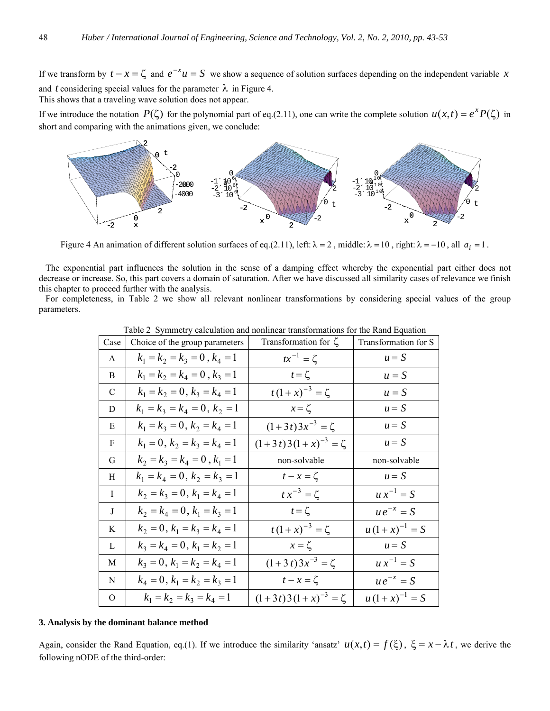If we transform by  $t - x = \zeta$  and  $e^{-x}u = S$  we show a sequence of solution surfaces depending on the independent variable *x* and *t* considering special values for the parameter  $\lambda$  in Figure 4. This shows that a traveling wave solution does not appear.

If we introduce the notation  $P(\zeta)$  for the polynomial part of eq.(2.11), one can write the complete solution  $u(x,t) = e^x P(\zeta)$  in short and comparing with the animations given, we conclude:



Figure 4 An animation of different solution surfaces of eq.(2.11), left:  $\lambda = 2$ , middle:  $\lambda = 10$ , right:  $\lambda = -10$ , all  $a_i = 1$ .

 The exponential part influences the solution in the sense of a damping effect whereby the exponential part either does not decrease or increase. So, this part covers a domain of saturation. After we have discussed all similarity cases of relevance we finish this chapter to proceed further with the analysis.

 For completeness, in Table 2 we show all relevant nonlinear transformations by considering special values of the group parameters.

| Case     | Choice of the group parameters    | Transformation for $\zeta$  | Transformation for S |
|----------|-----------------------------------|-----------------------------|----------------------|
| A        | $k_1 = k_2 = k_3 = 0$ , $k_4 = 1$ | $tx^{-1} = \zeta$           | $u = S$              |
| B        | $k_1 = k_2 = k_4 = 0$ , $k_3 = 1$ | $t=\zeta$                   | $u = S$              |
| C        | $k_1 = k_2 = 0, k_3 = k_4 = 1$    | $t(1+x)^{-3} = \zeta$       | $u = S$              |
| D        | $k_1 = k_3 = k_4 = 0, k_2 = 1$    | $x = \zeta$                 | $u = S$              |
| E        | $k_1 = k_3 = 0, k_2 = k_4 = 1$    | $(1+3t)3x^{-3} = \zeta$     | $u = S$              |
| F        | $k_1 = 0, k_2 = k_3 = k_4 = 1$    | $(1+3t)3(1+x)^{-3} = \zeta$ | $u = S$              |
| G        | $k_2 = k_3 = k_4 = 0, k_1 = 1$    | non-solvable                | non-solvable         |
| H        | $k_1 = k_4 = 0, k_2 = k_3 = 1$    | $t-x=\zeta$                 | $u = S$              |
| I        | $k_2 = k_3 = 0, k_1 = k_4 = 1$    | $tx^{-3} = \zeta$           | $ux^{-1} = S$        |
| $\bf J$  | $k_2 = k_4 = 0, k_1 = k_3 = 1$    | $t=\zeta$                   | $ue^{-x} = S$        |
| K        | $k_2 = 0, k_1 = k_3 = k_4 = 1$    | $t(1+x)^{-3} = \zeta$       | $u(1+x)^{-1} = S$    |
| L        | $k_3 = k_4 = 0, k_1 = k_2 = 1$    | $x=\zeta$                   | $u = S$              |
| M        | $k_3 = 0, k_1 = k_2 = k_4 = 1$    | $(1+3t)3x^{-3} = \zeta$     | $ux^{-1} = S$        |
| N        | $k_4 = 0, k_1 = k_2 = k_3 = 1$    | $t-x=\zeta$                 | $ue^{-x} = S$        |
| $\Omega$ | $k_1 = k_2 = k_3 = k_4 = 1$       | $(1+3t)3(1+x)^{-3} = \zeta$ | $u(1+x)^{-1} = S$    |

Table 2 Symmetry calculation and nonlinear transformations for the Rand Equation

### **3. Analysis by the dominant balance method**

Again, consider the Rand Equation, eq.(1). If we introduce the similarity 'ansatz'  $u(x,t) = f(\xi)$ ,  $\xi = x - \lambda t$ , we derive the following nODE of the third-order: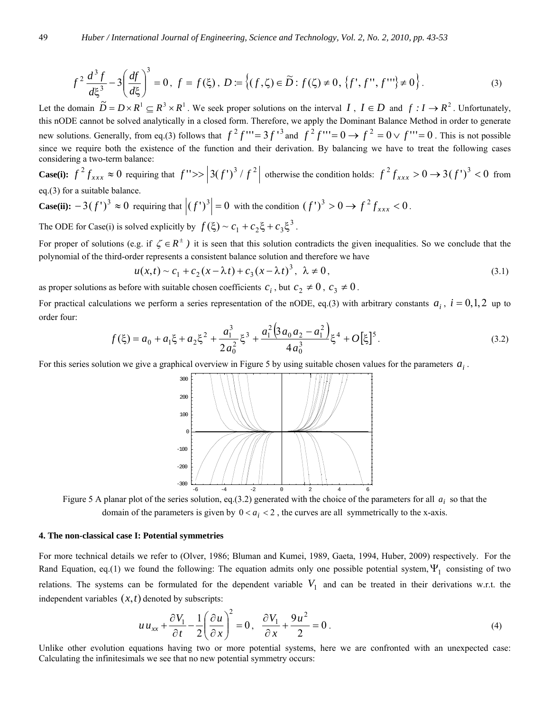$$
f^{2} \frac{d^{3} f}{d\xi^{3}} - 3 \left( \frac{df}{d\xi} \right)^{3} = 0, \ f = f(\xi), \ D := \left\{ (f, \zeta) \in \widetilde{D} : f(\zeta) \neq 0, \{f', f'', f''''\} \neq 0 \right\}.
$$
 (3)

Let the domain  $\tilde{D} = D \times R^1 \subseteq R^3 \times R^1$ . We seek proper solutions on the interval *I*,  $I \in D$  and  $f : I \to R^2$ . Unfortunately, this nODE cannot be solved analytically in a closed form. Therefore, we apply the Dominant Balance Method in order to generate new solutions. Generally, from eq.(3) follows that  $f^2 f''' = 3f'^3$  and  $f^2 f''' = 0 \rightarrow f^2 = 0 \vee f''' = 0$ . This is not possible since we require both the existence of the function and their derivation. By balancing we have to treat the following cases considering a two-term balance:

**Case(i):**  $f^2 f_{xxx} \approx 0$  requiring that  $f''>> |3(f')^3/f^2|$  otherwise the condition holds:  $f^2 f_{xxx} > 0 \rightarrow 3(f')^3 < 0$  from eq.(3) for a suitable balance.

**Case(ii):** 
$$
-3(f')^3 \approx 0
$$
 requiring that  $|(f')^3| = 0$  with the condition  $(f')^3 > 0 \rightarrow f^2 f_{xxx} < 0$ .  
The ODE for Case(i) is solved explicitly by  $f(\xi) \sim c_1 + c_2 \xi + c_3 \xi^3$ .

For proper of solutions (e.g. if  $\zeta \in R^{\pm}$ ) it is seen that this solution contradicts the given inequalities. So we conclude that the polynomial of the third-order represents a consistent balance solution and therefore we have

$$
u(x,t) \sim c_1 + c_2(x - \lambda t) + c_3(x - \lambda t)^3, \ \lambda \neq 0,
$$
\n(3.1)

as proper solutions as before with suitable chosen coefficients  $c_i$ , but  $c_2 \neq 0$ ,  $c_3 \neq 0$ .

For practical calculations we perform a series representation of the nODE, eq.(3) with arbitrary constants  $a_i$ ,  $i = 0,1,2$  up to order four:

$$
f(\xi) = a_0 + a_1 \xi + a_2 \xi^2 + \frac{a_1^3}{2 a_0^2} \xi^3 + \frac{a_1^2 (3 a_0 a_2 - a_1^2)}{4 a_0^3} \xi^4 + O[\xi]^5.
$$
 (3.2)

For this series solution we give a graphical overview in Figure 5 by using suitable chosen values for the parameters *ai* .



Figure 5 A planar plot of the series solution, eq.(3.2) generated with the choice of the parameters for all  $a_i$  so that the domain of the parameters is given by  $0 < a_i < 2$ , the curves are all symmetrically to the x-axis.

#### **4. The non-classical case I: Potential symmetries**

For more technical details we refer to (Olver, 1986; Bluman and Kumei, 1989, Gaeta, 1994, Huber, 2009) respectively. For the Rand Equation, eq.(1) we found the following: The equation admits only one possible potential system,  $\Psi_1$  consisting of two relations. The systems can be formulated for the dependent variable  $V_1$  and can be treated in their derivations w.r.t. the independent variables  $(x, t)$  denoted by subscripts:

$$
u u_{xx} + \frac{\partial V_1}{\partial t} - \frac{1}{2} \left( \frac{\partial u}{\partial x} \right)^2 = 0, \quad \frac{\partial V_1}{\partial x} + \frac{9u^2}{2} = 0 \tag{4}
$$

Unlike other evolution equations having two or more potential systems, here we are confronted with an unexpected case: Calculating the infinitesimals we see that no new potential symmetry occurs: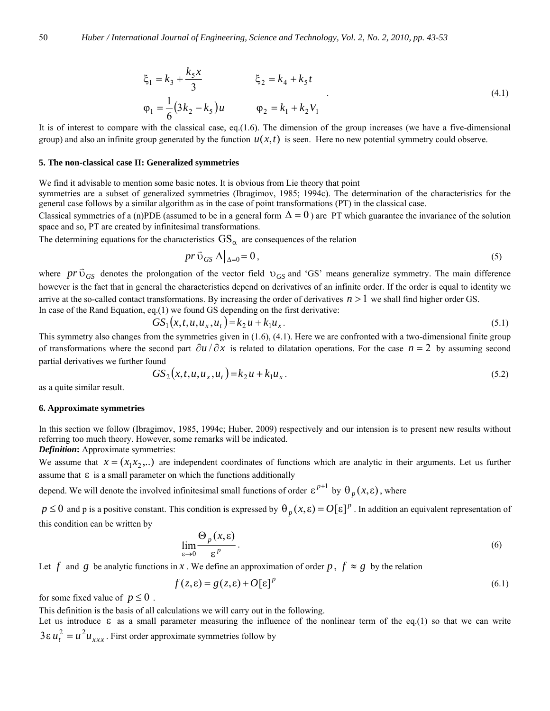$$
\xi_1 = k_3 + \frac{k_5 x}{3} \qquad \xi_2 = k_4 + k_5 t
$$
\n
$$
\varphi_1 = \frac{1}{6} (3k_2 - k_5) u \qquad \varphi_2 = k_1 + k_2 V_1
$$
\n(4.1)

It is of interest to compare with the classical case, eq.(1.6). The dimension of the group increases (we have a five-dimensional group) and also an infinite group generated by the function  $u(x,t)$  is seen. Here no new potential symmetry could observe.

#### **5. The non-classical case II: Generalized symmetries**

We find it advisable to mention some basic notes. It is obvious from Lie theory that point

symmetries are a subset of generalized symmetries (Ibragimov, 1985; 1994c). The determination of the characteristics for the general case follows by a similar algorithm as in the case of point transformations (PT) in the classical case.

Classical symmetries of a (n)PDE (assumed to be in a general form  $\Delta = 0$ ) are PT which guarantee the invariance of the solution space and so, PT are created by infinitesimal transformations.

The determining equations for the characteristics  $GS_\alpha$  are consequences of the relation

$$
pr\vec{v}_{GS} \Delta|_{\Delta=0} = 0, \qquad (5)
$$

where  $pr\vec{v}_{GS}$  denotes the prolongation of the vector field  $v_{GS}$  and 'GS' means generalize symmetry. The main difference however is the fact that in general the characteristics depend on derivatives of an infinite order. If the order is equal to identity we arrive at the so-called contact transformations. By increasing the order of derivatives  $n > 1$  we shall find higher order GS. In case of the Rand Equation, eq.(1) we found GS depending on the first derivative:

$$
GS_1(x, t, u, u_x, u_t) = k_2 u + k_1 u_x.
$$
\n(5.1)

This symmetry also changes from the symmetries given in (1.6), (4.1). Here we are confronted with a two-dimensional finite group of transformations where the second part  $\partial u / \partial x$  is related to dilatation operations. For the case  $n = 2$  by assuming second partial derivatives we further found

$$
GS_2(x, t, u, u_x, u_t) = k_2 u + k_1 u_x. \tag{5.2}
$$

as a quite similar result.

#### **6. Approximate symmetries**

In this section we follow (Ibragimov, 1985, 1994c; Huber, 2009) respectively and our intension is to present new results without referring too much theory. However, some remarks will be indicated.

*Definition***:** Approximate symmetries:

We assume that  $x = (x_1 x_2,...)$  are independent coordinates of functions which are analytic in their arguments. Let us further assume that  $\varepsilon$  is a small parameter on which the functions additionally

depend. We will denote the involved infinitesimal small functions of order  $\epsilon^{p+1}$  by  $\theta_p(x,\epsilon)$ , where

 $p \le 0$  and p is a positive constant. This condition is expressed by  $\theta_p(x,\varepsilon) = O[\varepsilon]^p$ . In addition an equivalent representation of this condition can be written by

$$
\lim_{\varepsilon \to 0} \frac{\Theta_p(x, \varepsilon)}{\varepsilon^p}.
$$
 (6)

Let *f* and *g* be analytic functions in *x*. We define an approximation of order *p*,  $f \approx g$  by the relation

$$
f(z,\varepsilon) = g(z,\varepsilon) + O[\varepsilon]^p \tag{6.1}
$$

for some fixed value of  $p \leq 0$ .

This definition is the basis of all calculations we will carry out in the following.

Let us introduce  $\varepsilon$  as a small parameter measuring the influence of the nonlinear term of the eq.(1) so that we can write  $3 \epsilon u_t^2 = u^2 u_{xxx}$ . First order approximate symmetries follow by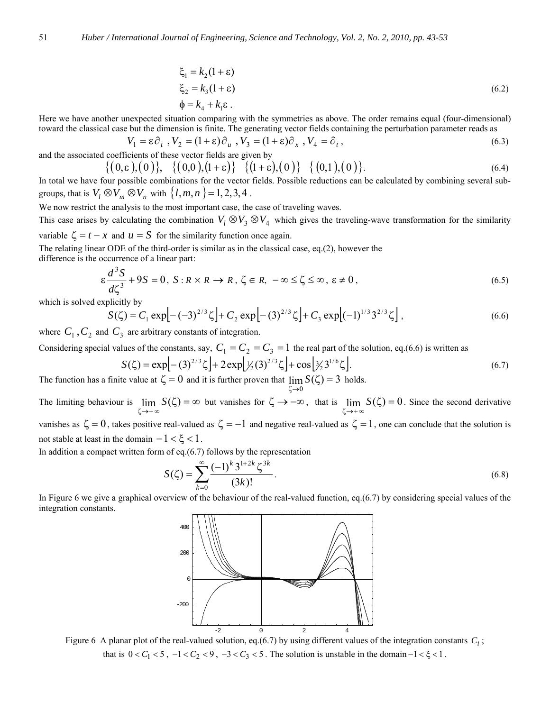$$
\xi_1 = k_2(1 + \varepsilon)
$$
  
\n
$$
\xi_2 = k_3(1 + \varepsilon)
$$
  
\n
$$
\phi = k_4 + k_1\varepsilon.
$$
\n(6.2)

Here we have another unexpected situation comparing with the symmetries as above. The order remains equal (four-dimensional) toward the classical case but the dimension is finite. The generating vector fields containing the perturbation parameter reads as

$$
V_1 = \varepsilon \partial_t, V_2 = (1 + \varepsilon) \partial_u, V_3 = (1 + \varepsilon) \partial_x, V_4 = \partial_t,
$$
\n(6.3)

and the associated coefficients of these vector fields are given by

$$
\{(0,\varepsilon), (0)\}, \{(0,0), (1+\varepsilon)\} \{(1+\varepsilon), (0)\} \{(0,1), (0)\}.
$$
\n(6.4)

In total we have four possible combinations for the vector fields. Possible reductions can be calculated by combining several subgroups, that is  $V_l \otimes V_m \otimes V_n$  with  $\{l,m,n\} = 1, 2, 3, 4$ .

We now restrict the analysis to the most important case, the case of traveling waves.

This case arises by calculating the combination  $V_1 \otimes V_3 \otimes V_4$  which gives the traveling-wave transformation for the similarity variable  $\zeta = t - x$  and  $u = S$  for the similarity function once again.

The relating linear ODE of the third-order is similar as in the classical case, eq.(2), however the difference is the occurrence of a linear part:

$$
\varepsilon \frac{d^3 S}{d\zeta^3} + 9S = 0, \ S: R \times R \to R, \ \zeta \in R, \ -\infty \le \zeta \le \infty, \ \varepsilon \ne 0 \,, \tag{6.5}
$$

which is solved explicitly by

$$
S(\zeta) = C_1 \exp\left[-(-3)^{2/3}\zeta\right] + C_2 \exp\left[-(3)^{2/3}\zeta\right] + C_3 \exp\left[(-1)^{1/3}3^{2/3}\zeta\right],\tag{6.6}
$$

where  $C_1$ ,  $C_2$  and  $C_3$  are arbitrary constants of integration.

Considering special values of the constants, say,  $C_1 = C_2 = C_3 = 1$  the real part of the solution, eq.(6.6) is written as

$$
S(\zeta) = \exp\left[-(3)^{2/3}\zeta\right] + 2\exp\left[\frac{1}{2}(3)^{2/3}\zeta\right] + \cos\left[\frac{3}{2}3^{1/6}\zeta\right].\tag{6.7}
$$

The function has a finite value at  $\zeta = 0$  and it is further proven that  $\lim_{\zeta \to 0} S(\zeta) = 3$  $\zeta$ ) = ζ→  $S(\zeta) = 3$  holds.

The limiting behaviour is  $\lim S(\zeta) = \infty$  $\lim_{\zeta \to +\infty} S(\zeta) = \infty$  but vanishes for  $\zeta \to -\infty$ , that is  $\lim_{\zeta \to +\infty} S(\zeta) = 0$  $S(\zeta) = 0$ . Since the second derivative vanishes as  $\zeta = 0$ , takes positive real-valued as  $\zeta = -1$  and negative real-valued as  $\zeta = 1$ , one can conclude that the solution is not stable at least in the domain  $-1 < \xi < 1$ .

In addition a compact written form of  $eq.(6.7)$  follows by the representation

$$
S(\zeta) = \sum_{k=0}^{\infty} \frac{(-1)^k 3^{1+2k} \zeta^{3k}}{(3k)!}.
$$
 (6.8)

In Figure 6 we give a graphical overview of the behaviour of the real-valued function, eq.(6.7) by considering special values of the integration constants.



Figure 6 A planar plot of the real-valued solution, eq.(6.7) by using different values of the integration constants  $C_i$ ; that is  $0 < C_1 < 5$ ,  $-1 < C_2 < 9$ ,  $-3 < C_3 < 5$ . The solution is unstable in the domain  $-1 < \xi < 1$ .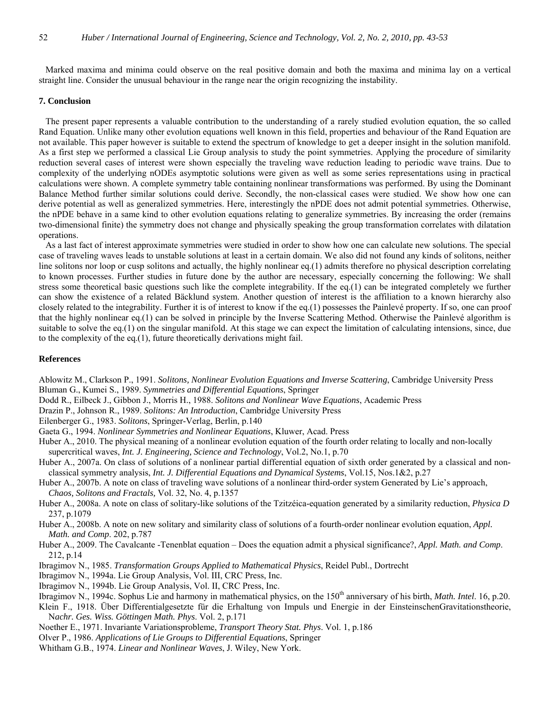Marked maxima and minima could observe on the real positive domain and both the maxima and minima lay on a vertical straight line. Consider the unusual behaviour in the range near the origin recognizing the instability.

#### **7. Conclusion**

 The present paper represents a valuable contribution to the understanding of a rarely studied evolution equation, the so called Rand Equation. Unlike many other evolution equations well known in this field, properties and behaviour of the Rand Equation are not available. This paper however is suitable to extend the spectrum of knowledge to get a deeper insight in the solution manifold. As a first step we performed a classical Lie Group analysis to study the point symmetries. Applying the procedure of similarity reduction several cases of interest were shown especially the traveling wave reduction leading to periodic wave trains. Due to complexity of the underlying nODEs asymptotic solutions were given as well as some series representations using in practical calculations were shown. A complete symmetry table containing nonlinear transformations was performed. By using the Dominant Balance Method further similar solutions could derive. Secondly, the non-classical cases were studied. We show how one can derive potential as well as generalized symmetries. Here, interestingly the nPDE does not admit potential symmetries. Otherwise, the nPDE behave in a same kind to other evolution equations relating to generalize symmetries. By increasing the order (remains two-dimensional finite) the symmetry does not change and physically speaking the group transformation correlates with dilatation operations.

 As a last fact of interest approximate symmetries were studied in order to show how one can calculate new solutions. The special case of traveling waves leads to unstable solutions at least in a certain domain. We also did not found any kinds of solitons, neither line solitons nor loop or cusp solitons and actually, the highly nonlinear eq.(1) admits therefore no physical description correlating to known processes. Further studies in future done by the author are necessary, especially concerning the following: We shall stress some theoretical basic questions such like the complete integrability. If the eq.(1) can be integrated completely we further can show the existence of a related Bäcklund system. Another question of interest is the affiliation to a known hierarchy also closely related to the integrability. Further it is of interest to know if the eq.(1) possesses the Painlevé property. If so, one can proof that the highly nonlinear eq.(1) can be solved in principle by the Inverse Scattering Method. Otherwise the Painlevé algorithm is suitable to solve the eq.(1) on the singular manifold. At this stage we can expect the limitation of calculating intensions, since, due to the complexity of the eq.(1), future theoretically derivations might fail.

#### **References**

Ablowitz M., Clarkson P., 1991. *Solitons, Nonlinear Evolution Equations and Inverse Scattering*, Cambridge University Press Bluman G., Kumei S., 1989. *Symmetries and Differential Equations*, Springer

- Dodd R., Eilbeck J., Gibbon J., Morris H., 1988. *Solitons and Nonlinear Wave Equations*, Academic Press
- Drazin P., Johnson R., 1989. *Solitons: An Introduction*, Cambridge University Press
- Eilenberger G., 1983. *Solitons*, Springer-Verlag, Berlin, p.140
- Gaeta G., 1994. *Nonlinear Symmetries and Nonlinear Equations*, Kluwer, Acad. Press
- Huber A., 2010. The physical meaning of a nonlinear evolution equation of the fourth order relating to locally and non-locally supercritical waves, *Int. J. Engineering, Science and Technology*, Vol.2, No.1, p.70
- Huber A., 2007a. On class of solutions of a nonlinear partial differential equation of sixth order generated by a classical and nonclassical symmetry analysis, *Int. J. Differential Equations and Dynamical Systems*, Vol.15, Nos.1&2, p.27
- Huber A., 2007b. A note on class of traveling wave solutions of a nonlinear third-order system Generated by Lie's approach, *Chaos, Solitons and Fractals,* Vol. 32, No. 4, p.1357
- Huber A., 2008a. A note on class of solitary-like solutions of the Tzitzéica-equation generated by a similarity reduction, *Physica D* 237, p.1079
- Huber A., 2008b. A note on new solitary and similarity class of solutions of a fourth-order nonlinear evolution equation, *Appl. Math. and Comp*. 202, p.787
- Huber A., 2009. The Cavalcante -Tenenblat equation Does the equation admit a physical significance?, *Appl. Math. and Comp*. 212, p.14
- Ibragimov N., 1985. *Transformation Groups Applied to Mathematical Physics*, Reidel Publ., Dortrecht
- Ibragimov N., 1994a. Lie Group Analysis, Vol. III, CRC Press, Inc.
- Ibragimov N., 1994b. Lie Group Analysis, Vol. II, CRC Press, Inc.
- Ibragimov N., 1994c. Sophus Lie and harmony in mathematical physics, on the 150<sup>th</sup> anniversary of his birth, *Math. Intel.* 16, p.20.

Klein F., 1918. Über Differentialgesetzte für die Erhaltung von Impuls und Energie in der EinsteinschenGravitationstheorie, N*achr. Ges. Wiss. Göttingen Math. Phys*. Vol. 2, p.171

- Noether E., 1971. Invariante Variationsprobleme, *Transport Theory Stat. Phys*. Vol. 1, p.186
- Olver P., 1986. *Applications of Lie Groups to Differential Equations*, Springer
- Whitham G.B., 1974. *Linear and Nonlinear Waves*, J. Wiley, New York.